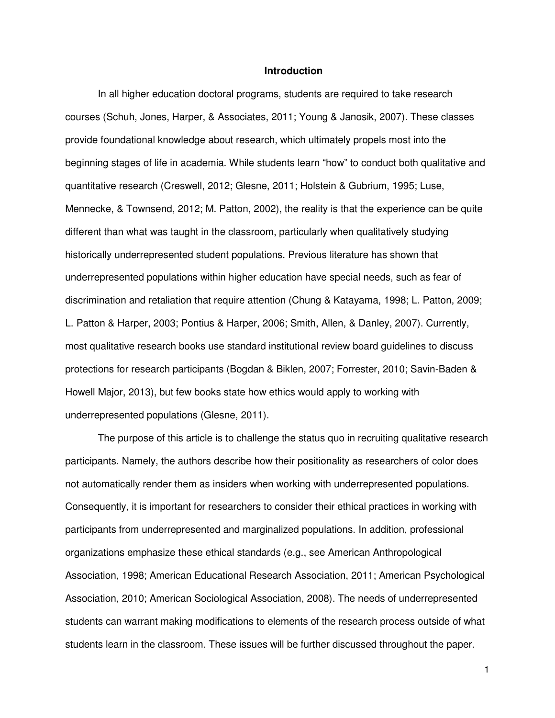## **Introduction**

In all higher education doctoral programs, students are required to take research courses (Schuh, Jones, Harper, & Associates, 2011; Young & Janosik, 2007). These classes provide foundational knowledge about research, which ultimately propels most into the beginning stages of life in academia. While students learn "how" to conduct both qualitative and quantitative research (Creswell, 2012; Glesne, 2011; Holstein & Gubrium, 1995; Luse, Mennecke, & Townsend, 2012; M. Patton, 2002), the reality is that the experience can be quite different than what was taught in the classroom, particularly when qualitatively studying historically underrepresented student populations. Previous literature has shown that underrepresented populations within higher education have special needs, such as fear of discrimination and retaliation that require attention (Chung & Katayama, 1998; L. Patton, 2009; L. Patton & Harper, 2003; Pontius & Harper, 2006; Smith, Allen, & Danley, 2007). Currently, most qualitative research books use standard institutional review board guidelines to discuss protections for research participants (Bogdan & Biklen, 2007; Forrester, 2010; Savin-Baden & Howell Major, 2013), but few books state how ethics would apply to working with underrepresented populations (Glesne, 2011).

The purpose of this article is to challenge the status quo in recruiting qualitative research participants. Namely, the authors describe how their positionality as researchers of color does not automatically render them as insiders when working with underrepresented populations. Consequently, it is important for researchers to consider their ethical practices in working with participants from underrepresented and marginalized populations. In addition, professional organizations emphasize these ethical standards (e.g., see American Anthropological Association, 1998; American Educational Research Association, 2011; American Psychological Association, 2010; American Sociological Association, 2008). The needs of underrepresented students can warrant making modifications to elements of the research process outside of what students learn in the classroom. These issues will be further discussed throughout the paper.

1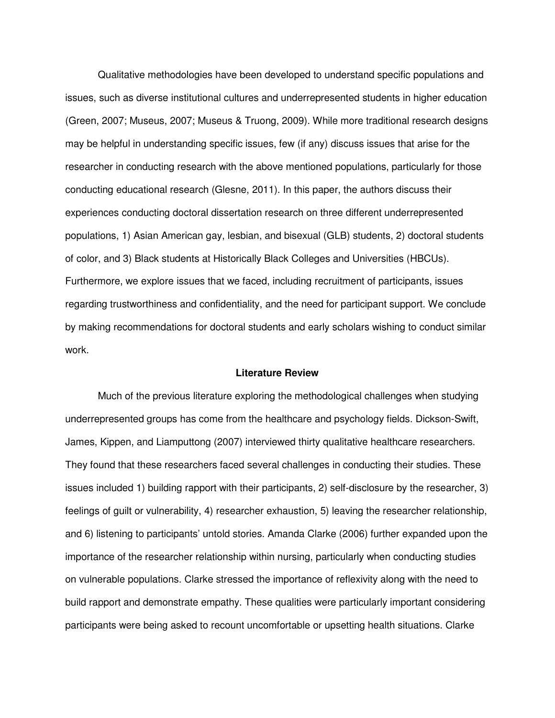Qualitative methodologies have been developed to understand specific populations and issues, such as diverse institutional cultures and underrepresented students in higher education (Green, 2007; Museus, 2007; Museus & Truong, 2009). While more traditional research designs may be helpful in understanding specific issues, few (if any) discuss issues that arise for the researcher in conducting research with the above mentioned populations, particularly for those conducting educational research (Glesne, 2011). In this paper, the authors discuss their experiences conducting doctoral dissertation research on three different underrepresented populations, 1) Asian American gay, lesbian, and bisexual (GLB) students, 2) doctoral students of color, and 3) Black students at Historically Black Colleges and Universities (HBCUs). Furthermore, we explore issues that we faced, including recruitment of participants, issues regarding trustworthiness and confidentiality, and the need for participant support. We conclude by making recommendations for doctoral students and early scholars wishing to conduct similar work.

# **Literature Review**

Much of the previous literature exploring the methodological challenges when studying underrepresented groups has come from the healthcare and psychology fields. Dickson-Swift, James, Kippen, and Liamputtong (2007) interviewed thirty qualitative healthcare researchers. They found that these researchers faced several challenges in conducting their studies. These issues included 1) building rapport with their participants, 2) self-disclosure by the researcher, 3) feelings of guilt or vulnerability, 4) researcher exhaustion, 5) leaving the researcher relationship, and 6) listening to participants' untold stories. Amanda Clarke (2006) further expanded upon the importance of the researcher relationship within nursing, particularly when conducting studies on vulnerable populations. Clarke stressed the importance of reflexivity along with the need to build rapport and demonstrate empathy. These qualities were particularly important considering participants were being asked to recount uncomfortable or upsetting health situations. Clarke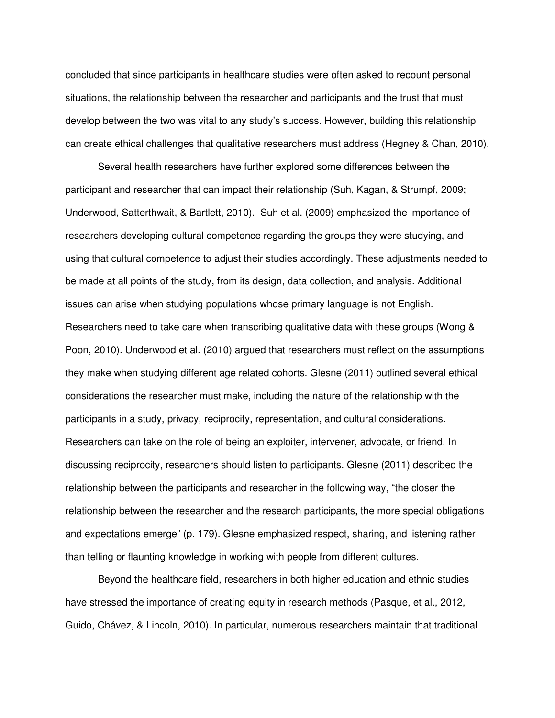concluded that since participants in healthcare studies were often asked to recount personal situations, the relationship between the researcher and participants and the trust that must develop between the two was vital to any study's success. However, building this relationship can create ethical challenges that qualitative researchers must address (Hegney & Chan, 2010).

Several health researchers have further explored some differences between the participant and researcher that can impact their relationship (Suh, Kagan, & Strumpf, 2009; Underwood, Satterthwait, & Bartlett, 2010). Suh et al. (2009) emphasized the importance of researchers developing cultural competence regarding the groups they were studying, and using that cultural competence to adjust their studies accordingly. These adjustments needed to be made at all points of the study, from its design, data collection, and analysis. Additional issues can arise when studying populations whose primary language is not English. Researchers need to take care when transcribing qualitative data with these groups (Wong & Poon, 2010). Underwood et al. (2010) argued that researchers must reflect on the assumptions they make when studying different age related cohorts. Glesne (2011) outlined several ethical considerations the researcher must make, including the nature of the relationship with the participants in a study, privacy, reciprocity, representation, and cultural considerations. Researchers can take on the role of being an exploiter, intervener, advocate, or friend. In discussing reciprocity, researchers should listen to participants. Glesne (2011) described the relationship between the participants and researcher in the following way, "the closer the relationship between the researcher and the research participants, the more special obligations and expectations emerge" (p. 179). Glesne emphasized respect, sharing, and listening rather than telling or flaunting knowledge in working with people from different cultures.

Beyond the healthcare field, researchers in both higher education and ethnic studies have stressed the importance of creating equity in research methods (Pasque, et al., 2012, Guido, Chávez, & Lincoln, 2010). In particular, numerous researchers maintain that traditional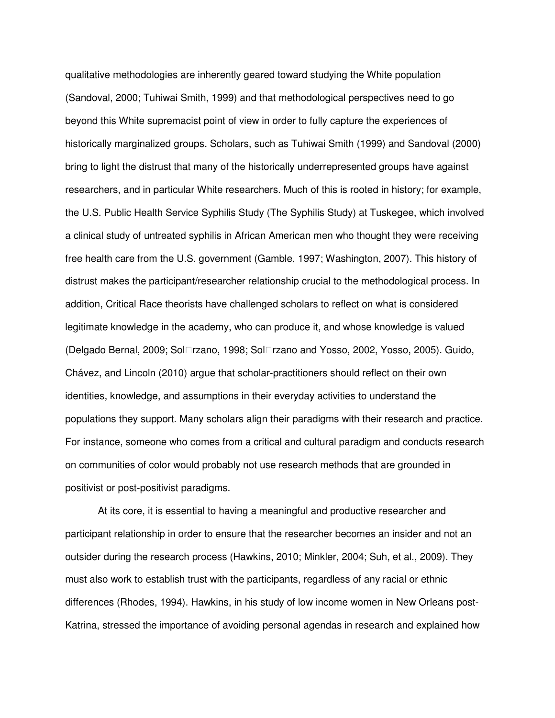qualitative methodologies are inherently geared toward studying the White population (Sandoval, 2000; Tuhiwai Smith, 1999) and that methodological perspectives need to go beyond this White supremacist point of view in order to fully capture the experiences of historically marginalized groups. Scholars, such as Tuhiwai Smith (1999) and Sandoval (2000) bring to light the distrust that many of the historically underrepresented groups have against researchers, and in particular White researchers. Much of this is rooted in history; for example, the U.S. Public Health Service Syphilis Study (The Syphilis Study) at Tuskegee, which involved a clinical study of untreated syphilis in African American men who thought they were receiving free health care from the U.S. government (Gamble, 1997; Washington, 2007). This history of distrust makes the participant/researcher relationship crucial to the methodological process. In addition, Critical Race theorists have challenged scholars to reflect on what is considered legitimate knowledge in the academy, who can produce it, and whose knowledge is valued (Delgado Bernal, 2009; Sol rzano, 1998; Sol rzano and Yosso, 2002, Yosso, 2005). Guido, Chávez, and Lincoln (2010) argue that scholar-practitioners should reflect on their own identities, knowledge, and assumptions in their everyday activities to understand the populations they support. Many scholars align their paradigms with their research and practice. For instance, someone who comes from a critical and cultural paradigm and conducts research on communities of color would probably not use research methods that are grounded in positivist or post-positivist paradigms.

 At its core, it is essential to having a meaningful and productive researcher and participant relationship in order to ensure that the researcher becomes an insider and not an outsider during the research process (Hawkins, 2010; Minkler, 2004; Suh, et al., 2009). They must also work to establish trust with the participants, regardless of any racial or ethnic differences (Rhodes, 1994). Hawkins, in his study of low income women in New Orleans post-Katrina, stressed the importance of avoiding personal agendas in research and explained how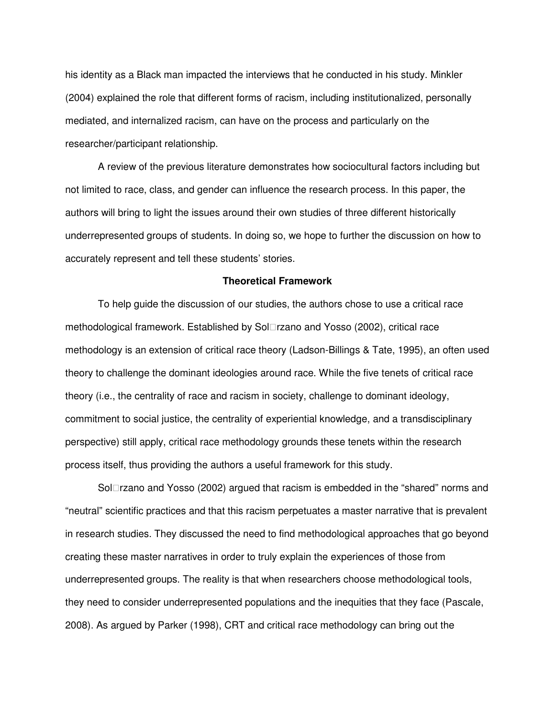his identity as a Black man impacted the interviews that he conducted in his study. Minkler (2004) explained the role that different forms of racism, including institutionalized, personally mediated, and internalized racism, can have on the process and particularly on the researcher/participant relationship.

 A review of the previous literature demonstrates how sociocultural factors including but not limited to race, class, and gender can influence the research process. In this paper, the authors will bring to light the issues around their own studies of three different historically underrepresented groups of students. In doing so, we hope to further the discussion on how to accurately represent and tell these students' stories.

## **Theoretical Framework**

To help guide the discussion of our studies, the authors chose to use a critical race methodological framework. Established by Sol rzano and Yosso (2002), critical race methodology is an extension of critical race theory (Ladson-Billings & Tate, 1995), an often used theory to challenge the dominant ideologies around race. While the five tenets of critical race theory (i.e., the centrality of race and racism in society, challenge to dominant ideology, commitment to social justice, the centrality of experiential knowledge, and a transdisciplinary perspective) still apply, critical race methodology grounds these tenets within the research process itself, thus providing the authors a useful framework for this study.

Sol rzano and Yosso (2002) argued that racism is embedded in the "shared" norms and "neutral" scientific practices and that this racism perpetuates a master narrative that is prevalent in research studies. They discussed the need to find methodological approaches that go beyond creating these master narratives in order to truly explain the experiences of those from underrepresented groups. The reality is that when researchers choose methodological tools, they need to consider underrepresented populations and the inequities that they face (Pascale, 2008). As argued by Parker (1998), CRT and critical race methodology can bring out the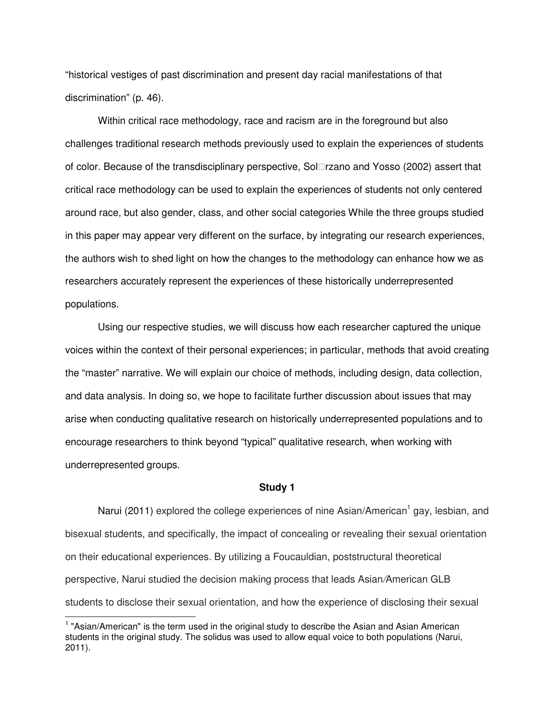"historical vestiges of past discrimination and present day racial manifestations of that discrimination" (p. 46).

Within critical race methodology, race and racism are in the foreground but also challenges traditional research methods previously used to explain the experiences of students of color. Because of the transdisciplinary perspective, Solrzano and Yosso (2002) assert that critical race methodology can be used to explain the experiences of students not only centered around race, but also gender, class, and other social categories While the three groups studied in this paper may appear very different on the surface, by integrating our research experiences, the authors wish to shed light on how the changes to the methodology can enhance how we as researchers accurately represent the experiences of these historically underrepresented populations.

Using our respective studies, we will discuss how each researcher captured the unique voices within the context of their personal experiences; in particular, methods that avoid creating the "master" narrative. We will explain our choice of methods, including design, data collection, and data analysis. In doing so, we hope to facilitate further discussion about issues that may arise when conducting qualitative research on historically underrepresented populations and to encourage researchers to think beyond "typical" qualitative research, when working with underrepresented groups.

#### **Study 1**

Narui (2011) explored the college experiences of nine Asian/American<sup>1</sup> gay, lesbian, and bisexual students, and specifically, the impact of concealing or revealing their sexual orientation on their educational experiences. By utilizing a Foucauldian, poststructural theoretical perspective, Narui studied the decision making process that leads Asian/American GLB students to disclose their sexual orientation, and how the experience of disclosing their sexual

 $\overline{a}$ 

<sup>&</sup>lt;sup>1</sup> "Asian/American" is the term used in the original study to describe the Asian and Asian American students in the original study. The solidus was used to allow equal voice to both populations (Narui, 2011).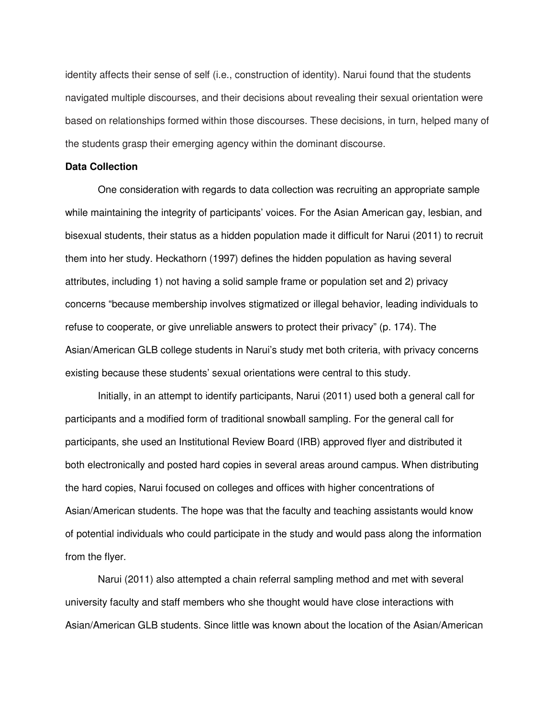identity affects their sense of self (i.e., construction of identity). Narui found that the students navigated multiple discourses, and their decisions about revealing their sexual orientation were based on relationships formed within those discourses. These decisions, in turn, helped many of the students grasp their emerging agency within the dominant discourse.

# **Data Collection**

One consideration with regards to data collection was recruiting an appropriate sample while maintaining the integrity of participants' voices. For the Asian American gay, lesbian, and bisexual students, their status as a hidden population made it difficult for Narui (2011) to recruit them into her study. Heckathorn (1997) defines the hidden population as having several attributes, including 1) not having a solid sample frame or population set and 2) privacy concerns "because membership involves stigmatized or illegal behavior, leading individuals to refuse to cooperate, or give unreliable answers to protect their privacy" (p. 174). The Asian/American GLB college students in Narui's study met both criteria, with privacy concerns existing because these students' sexual orientations were central to this study.

Initially, in an attempt to identify participants, Narui (2011) used both a general call for participants and a modified form of traditional snowball sampling. For the general call for participants, she used an Institutional Review Board (IRB) approved flyer and distributed it both electronically and posted hard copies in several areas around campus. When distributing the hard copies, Narui focused on colleges and offices with higher concentrations of Asian/American students. The hope was that the faculty and teaching assistants would know of potential individuals who could participate in the study and would pass along the information from the flyer.

Narui (2011) also attempted a chain referral sampling method and met with several university faculty and staff members who she thought would have close interactions with Asian/American GLB students. Since little was known about the location of the Asian/American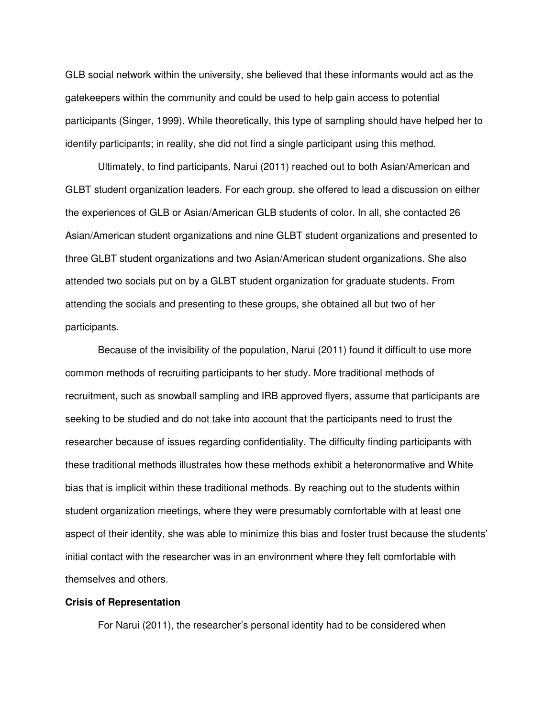GLB social network within the university, she believed that these informants would act as the gatekeepers within the community and could be used to help gain access to potential participants (Singer, 1999). While theoretically, this type of sampling should have helped her to identify participants; in reality, she did not find a single participant using this method.

Ultimately, to find participants, Narui (2011) reached out to both Asian/American and GLBT student organization leaders. For each group, she offered to lead a discussion on either the experiences of GLB or Asian/American GLB students of color. In all, she contacted 26 Asian/American student organizations and nine GLBT student organizations and presented to three GLBT student organizations and two Asian/American student organizations. She also attended two socials put on by a GLBT student organization for graduate students. From attending the socials and presenting to these groups, she obtained all but two of her participants.

Because of the invisibility of the population, Narui (2011) found it difficult to use more common methods of recruiting participants to her study. More traditional methods of recruitment, such as snowball sampling and IRB approved flyers, assume that participants are seeking to be studied and do not take into account that the participants need to trust the researcher because of issues regarding confidentiality. The difficulty finding participants with these traditional methods illustrates how these methods exhibit a heteronormative and White bias that is implicit within these traditional methods. By reaching out to the students within student organization meetings, where they were presumably comfortable with at least one aspect of their identity, she was able to minimize this bias and foster trust because the students' initial contact with the researcher was in an environment where they felt comfortable with themselves and others.

#### **Crisis of Representation**

For Narui (2011), the researcher's personal identity had to be considered when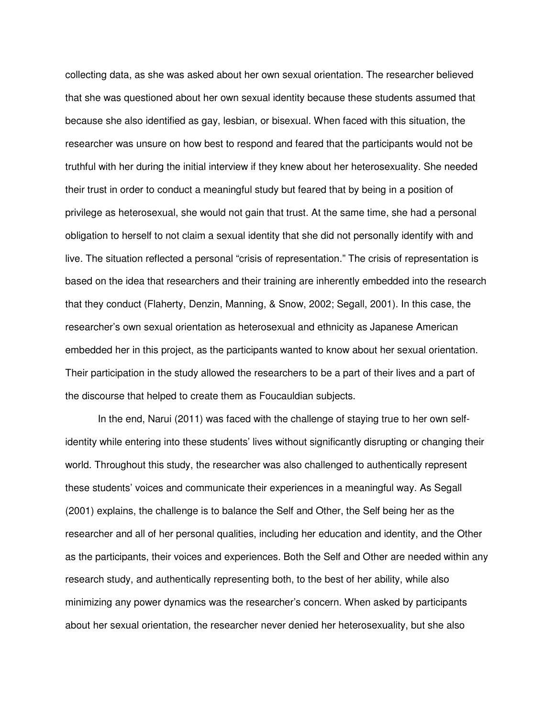collecting data, as she was asked about her own sexual orientation. The researcher believed that she was questioned about her own sexual identity because these students assumed that because she also identified as gay, lesbian, or bisexual. When faced with this situation, the researcher was unsure on how best to respond and feared that the participants would not be truthful with her during the initial interview if they knew about her heterosexuality. She needed their trust in order to conduct a meaningful study but feared that by being in a position of privilege as heterosexual, she would not gain that trust. At the same time, she had a personal obligation to herself to not claim a sexual identity that she did not personally identify with and live. The situation reflected a personal "crisis of representation." The crisis of representation is based on the idea that researchers and their training are inherently embedded into the research that they conduct (Flaherty, Denzin, Manning, & Snow, 2002; Segall, 2001). In this case, the researcher's own sexual orientation as heterosexual and ethnicity as Japanese American embedded her in this project, as the participants wanted to know about her sexual orientation. Their participation in the study allowed the researchers to be a part of their lives and a part of the discourse that helped to create them as Foucauldian subjects.

In the end, Narui (2011) was faced with the challenge of staying true to her own selfidentity while entering into these students' lives without significantly disrupting or changing their world. Throughout this study, the researcher was also challenged to authentically represent these students' voices and communicate their experiences in a meaningful way. As Segall (2001) explains, the challenge is to balance the Self and Other, the Self being her as the researcher and all of her personal qualities, including her education and identity, and the Other as the participants, their voices and experiences. Both the Self and Other are needed within any research study, and authentically representing both, to the best of her ability, while also minimizing any power dynamics was the researcher's concern. When asked by participants about her sexual orientation, the researcher never denied her heterosexuality, but she also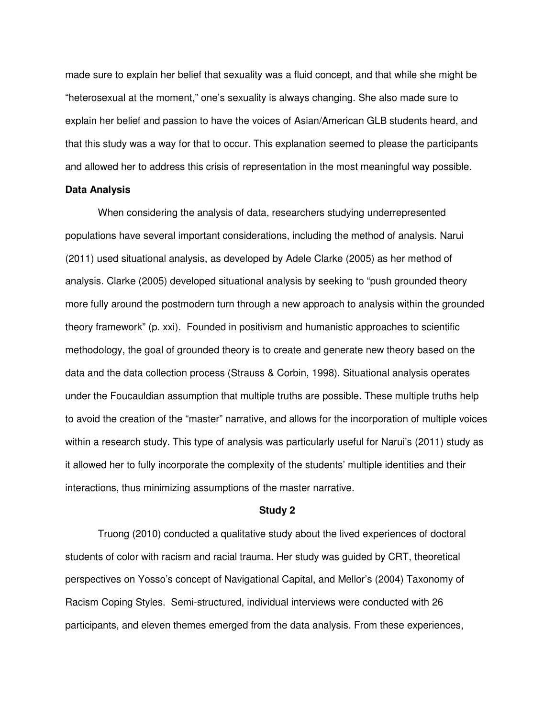made sure to explain her belief that sexuality was a fluid concept, and that while she might be "heterosexual at the moment," one's sexuality is always changing. She also made sure to explain her belief and passion to have the voices of Asian/American GLB students heard, and that this study was a way for that to occur. This explanation seemed to please the participants and allowed her to address this crisis of representation in the most meaningful way possible.

#### **Data Analysis**

When considering the analysis of data, researchers studying underrepresented populations have several important considerations, including the method of analysis. Narui (2011) used situational analysis, as developed by Adele Clarke (2005) as her method of analysis. Clarke (2005) developed situational analysis by seeking to "push grounded theory more fully around the postmodern turn through a new approach to analysis within the grounded theory framework" (p. xxi). Founded in positivism and humanistic approaches to scientific methodology, the goal of grounded theory is to create and generate new theory based on the data and the data collection process (Strauss & Corbin, 1998). Situational analysis operates under the Foucauldian assumption that multiple truths are possible. These multiple truths help to avoid the creation of the "master" narrative, and allows for the incorporation of multiple voices within a research study. This type of analysis was particularly useful for Narui's (2011) study as it allowed her to fully incorporate the complexity of the students' multiple identities and their interactions, thus minimizing assumptions of the master narrative.

#### **Study 2**

Truong (2010) conducted a qualitative study about the lived experiences of doctoral students of color with racism and racial trauma. Her study was guided by CRT, theoretical perspectives on Yosso's concept of Navigational Capital, and Mellor's (2004) Taxonomy of Racism Coping Styles. Semi-structured, individual interviews were conducted with 26 participants, and eleven themes emerged from the data analysis. From these experiences,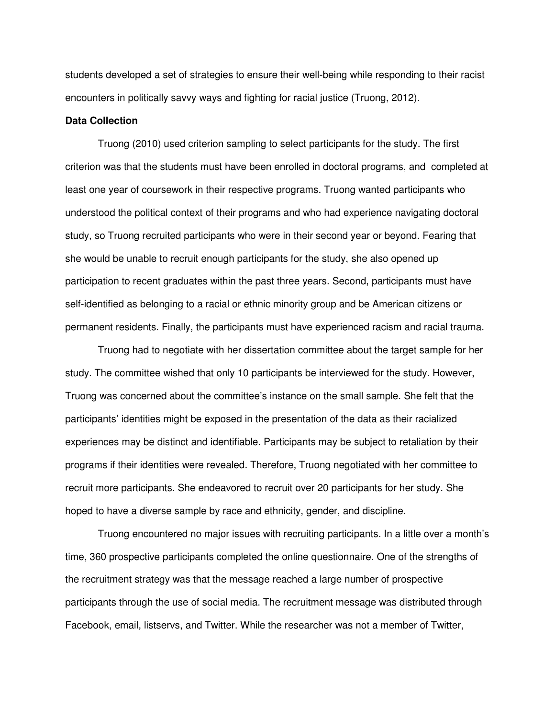students developed a set of strategies to ensure their well-being while responding to their racist encounters in politically savvy ways and fighting for racial justice (Truong, 2012).

# **Data Collection**

Truong (2010) used criterion sampling to select participants for the study. The first criterion was that the students must have been enrolled in doctoral programs, and completed at least one year of coursework in their respective programs. Truong wanted participants who understood the political context of their programs and who had experience navigating doctoral study, so Truong recruited participants who were in their second year or beyond. Fearing that she would be unable to recruit enough participants for the study, she also opened up participation to recent graduates within the past three years. Second, participants must have self-identified as belonging to a racial or ethnic minority group and be American citizens or permanent residents. Finally, the participants must have experienced racism and racial trauma.

Truong had to negotiate with her dissertation committee about the target sample for her study. The committee wished that only 10 participants be interviewed for the study. However, Truong was concerned about the committee's instance on the small sample. She felt that the participants' identities might be exposed in the presentation of the data as their racialized experiences may be distinct and identifiable. Participants may be subject to retaliation by their programs if their identities were revealed. Therefore, Truong negotiated with her committee to recruit more participants. She endeavored to recruit over 20 participants for her study. She hoped to have a diverse sample by race and ethnicity, gender, and discipline.

Truong encountered no major issues with recruiting participants. In a little over a month's time, 360 prospective participants completed the online questionnaire. One of the strengths of the recruitment strategy was that the message reached a large number of prospective participants through the use of social media. The recruitment message was distributed through Facebook, email, listservs, and Twitter. While the researcher was not a member of Twitter,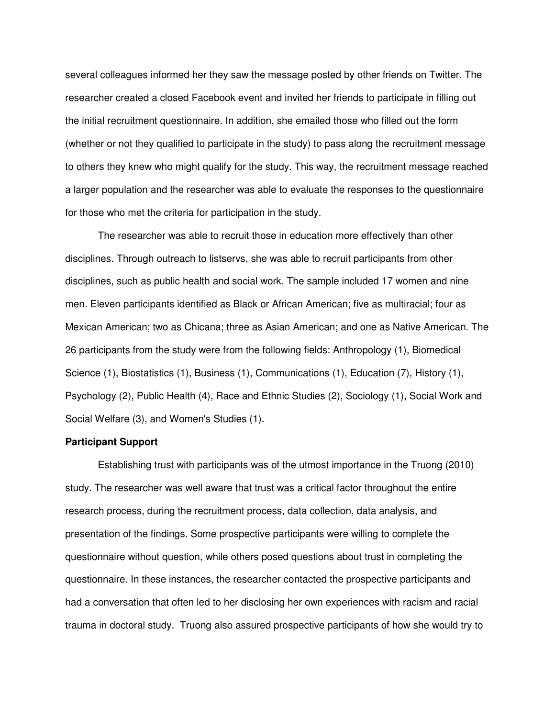several colleagues informed her they saw the message posted by other friends on Twitter. The researcher created a closed Facebook event and invited her friends to participate in filling out the initial recruitment questionnaire. In addition, she emailed those who filled out the form (whether or not they qualified to participate in the study) to pass along the recruitment message to others they knew who might qualify for the study. This way, the recruitment message reached a larger population and the researcher was able to evaluate the responses to the questionnaire for those who met the criteria for participation in the study.

The researcher was able to recruit those in education more effectively than other disciplines. Through outreach to listservs, she was able to recruit participants from other disciplines, such as public health and social work. The sample included 17 women and nine men. Eleven participants identified as Black or African American; five as multiracial; four as Mexican American; two as Chicana; three as Asian American; and one as Native American. The 26 participants from the study were from the following fields: Anthropology (1), Biomedical Science (1), Biostatistics (1), Business (1), Communications (1), Education (7), History (1), Psychology (2), Public Health (4), Race and Ethnic Studies (2), Sociology (1), Social Work and Social Welfare (3), and Women's Studies (1).

### **Participant Support**

Establishing trust with participants was of the utmost importance in the Truong (2010) study. The researcher was well aware that trust was a critical factor throughout the entire research process, during the recruitment process, data collection, data analysis, and presentation of the findings. Some prospective participants were willing to complete the questionnaire without question, while others posed questions about trust in completing the questionnaire. In these instances, the researcher contacted the prospective participants and had a conversation that often led to her disclosing her own experiences with racism and racial trauma in doctoral study. Truong also assured prospective participants of how she would try to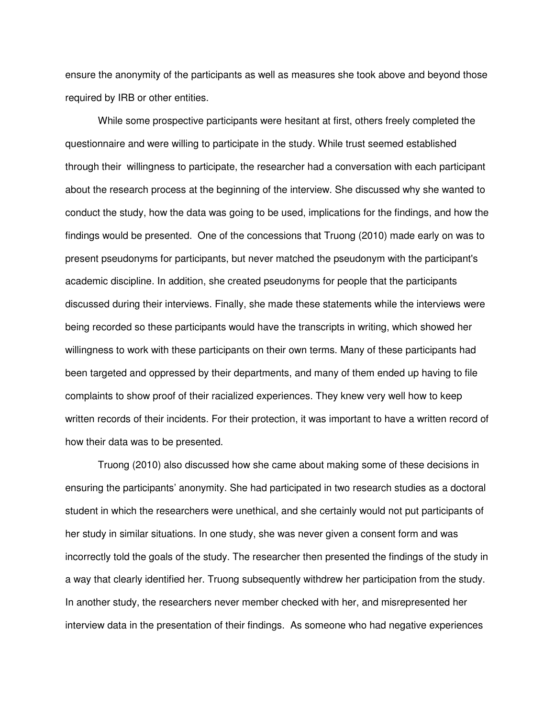ensure the anonymity of the participants as well as measures she took above and beyond those required by IRB or other entities.

While some prospective participants were hesitant at first, others freely completed the questionnaire and were willing to participate in the study. While trust seemed established through their willingness to participate, the researcher had a conversation with each participant about the research process at the beginning of the interview. She discussed why she wanted to conduct the study, how the data was going to be used, implications for the findings, and how the findings would be presented. One of the concessions that Truong (2010) made early on was to present pseudonyms for participants, but never matched the pseudonym with the participant's academic discipline. In addition, she created pseudonyms for people that the participants discussed during their interviews. Finally, she made these statements while the interviews were being recorded so these participants would have the transcripts in writing, which showed her willingness to work with these participants on their own terms. Many of these participants had been targeted and oppressed by their departments, and many of them ended up having to file complaints to show proof of their racialized experiences. They knew very well how to keep written records of their incidents. For their protection, it was important to have a written record of how their data was to be presented.

Truong (2010) also discussed how she came about making some of these decisions in ensuring the participants' anonymity. She had participated in two research studies as a doctoral student in which the researchers were unethical, and she certainly would not put participants of her study in similar situations. In one study, she was never given a consent form and was incorrectly told the goals of the study. The researcher then presented the findings of the study in a way that clearly identified her. Truong subsequently withdrew her participation from the study. In another study, the researchers never member checked with her, and misrepresented her interview data in the presentation of their findings. As someone who had negative experiences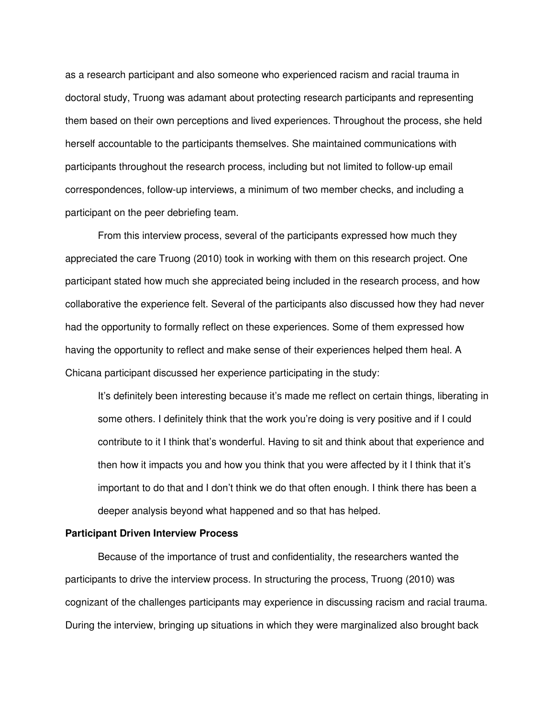as a research participant and also someone who experienced racism and racial trauma in doctoral study, Truong was adamant about protecting research participants and representing them based on their own perceptions and lived experiences. Throughout the process, she held herself accountable to the participants themselves. She maintained communications with participants throughout the research process, including but not limited to follow-up email correspondences, follow-up interviews, a minimum of two member checks, and including a participant on the peer debriefing team.

From this interview process, several of the participants expressed how much they appreciated the care Truong (2010) took in working with them on this research project. One participant stated how much she appreciated being included in the research process, and how collaborative the experience felt. Several of the participants also discussed how they had never had the opportunity to formally reflect on these experiences. Some of them expressed how having the opportunity to reflect and make sense of their experiences helped them heal. A Chicana participant discussed her experience participating in the study:

It's definitely been interesting because it's made me reflect on certain things, liberating in some others. I definitely think that the work you're doing is very positive and if I could contribute to it I think that's wonderful. Having to sit and think about that experience and then how it impacts you and how you think that you were affected by it I think that it's important to do that and I don't think we do that often enough. I think there has been a deeper analysis beyond what happened and so that has helped.

# **Participant Driven Interview Process**

Because of the importance of trust and confidentiality, the researchers wanted the participants to drive the interview process. In structuring the process, Truong (2010) was cognizant of the challenges participants may experience in discussing racism and racial trauma. During the interview, bringing up situations in which they were marginalized also brought back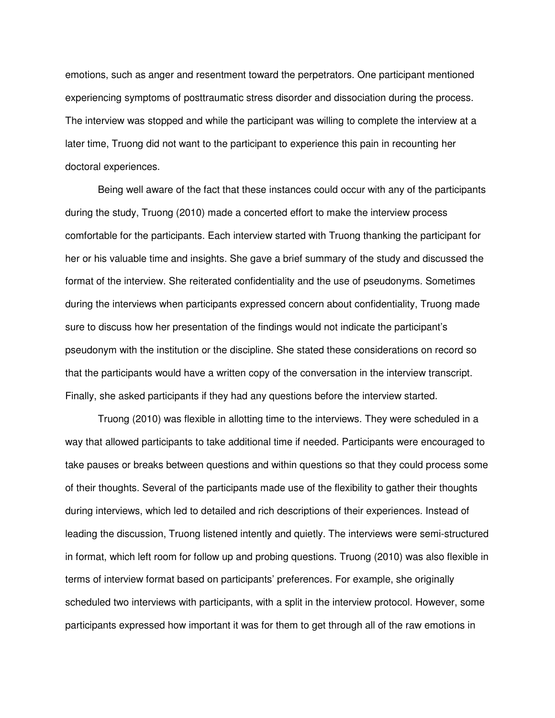emotions, such as anger and resentment toward the perpetrators. One participant mentioned experiencing symptoms of posttraumatic stress disorder and dissociation during the process. The interview was stopped and while the participant was willing to complete the interview at a later time, Truong did not want to the participant to experience this pain in recounting her doctoral experiences.

Being well aware of the fact that these instances could occur with any of the participants during the study, Truong (2010) made a concerted effort to make the interview process comfortable for the participants. Each interview started with Truong thanking the participant for her or his valuable time and insights. She gave a brief summary of the study and discussed the format of the interview. She reiterated confidentiality and the use of pseudonyms. Sometimes during the interviews when participants expressed concern about confidentiality, Truong made sure to discuss how her presentation of the findings would not indicate the participant's pseudonym with the institution or the discipline. She stated these considerations on record so that the participants would have a written copy of the conversation in the interview transcript. Finally, she asked participants if they had any questions before the interview started.

Truong (2010) was flexible in allotting time to the interviews. They were scheduled in a way that allowed participants to take additional time if needed. Participants were encouraged to take pauses or breaks between questions and within questions so that they could process some of their thoughts. Several of the participants made use of the flexibility to gather their thoughts during interviews, which led to detailed and rich descriptions of their experiences. Instead of leading the discussion, Truong listened intently and quietly. The interviews were semi-structured in format, which left room for follow up and probing questions. Truong (2010) was also flexible in terms of interview format based on participants' preferences. For example, she originally scheduled two interviews with participants, with a split in the interview protocol. However, some participants expressed how important it was for them to get through all of the raw emotions in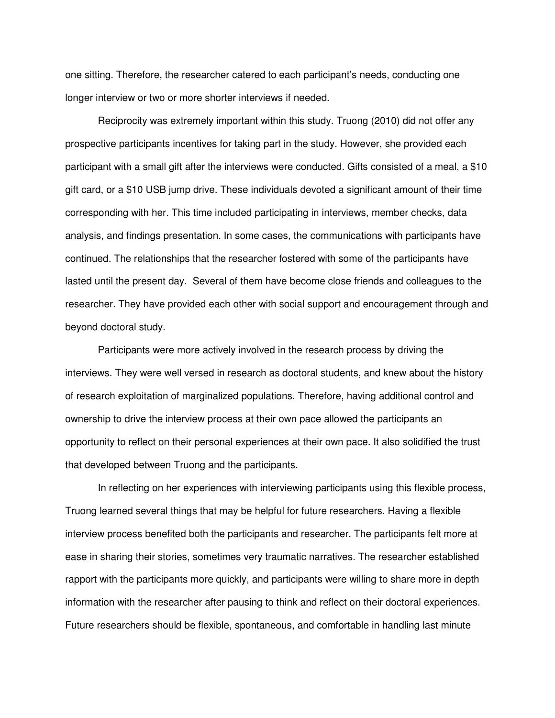one sitting. Therefore, the researcher catered to each participant's needs, conducting one longer interview or two or more shorter interviews if needed.

Reciprocity was extremely important within this study. Truong (2010) did not offer any prospective participants incentives for taking part in the study. However, she provided each participant with a small gift after the interviews were conducted. Gifts consisted of a meal, a \$10 gift card, or a \$10 USB jump drive. These individuals devoted a significant amount of their time corresponding with her. This time included participating in interviews, member checks, data analysis, and findings presentation. In some cases, the communications with participants have continued. The relationships that the researcher fostered with some of the participants have lasted until the present day. Several of them have become close friends and colleagues to the researcher. They have provided each other with social support and encouragement through and beyond doctoral study.

Participants were more actively involved in the research process by driving the interviews. They were well versed in research as doctoral students, and knew about the history of research exploitation of marginalized populations. Therefore, having additional control and ownership to drive the interview process at their own pace allowed the participants an opportunity to reflect on their personal experiences at their own pace. It also solidified the trust that developed between Truong and the participants.

In reflecting on her experiences with interviewing participants using this flexible process, Truong learned several things that may be helpful for future researchers. Having a flexible interview process benefited both the participants and researcher. The participants felt more at ease in sharing their stories, sometimes very traumatic narratives. The researcher established rapport with the participants more quickly, and participants were willing to share more in depth information with the researcher after pausing to think and reflect on their doctoral experiences. Future researchers should be flexible, spontaneous, and comfortable in handling last minute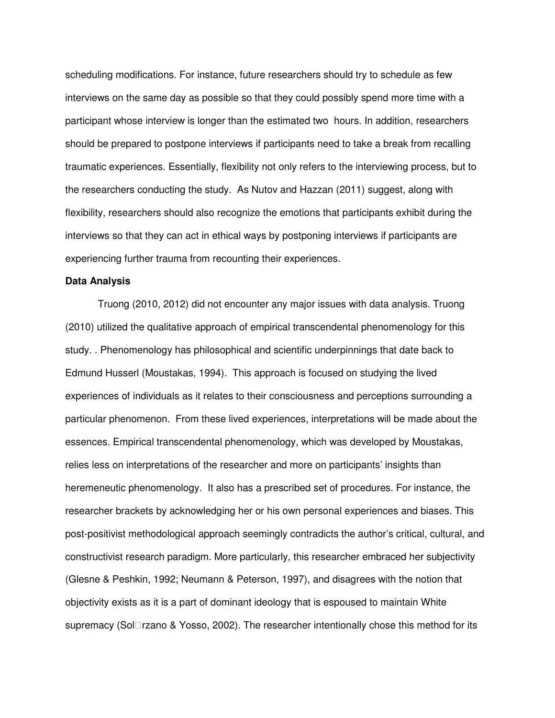scheduling modifications. For instance, future researchers should try to schedule as few interviews on the same day as possible so that they could possibly spend more time with a participant whose interview is longer than the estimated two hours. In addition, researchers should be prepared to postpone interviews if participants need to take a break from recalling traumatic experiences. Essentially, flexibility not only refers to the interviewing process, but to the researchers conducting the study. As Nutov and Hazzan (2011) suggest, along with flexibility, researchers should also recognize the emotions that participants exhibit during the interviews so that they can act in ethical ways by postponing interviews if participants are experiencing further trauma from recounting their experiences.

## **Data Analysis**

Truong (2010, 2012) did not encounter any major issues with data analysis. Truong (2010) utilized the qualitative approach of empirical transcendental phenomenology for this study. . Phenomenology has philosophical and scientific underpinnings that date back to Edmund Husserl (Moustakas, 1994). This approach is focused on studying the lived experiences of individuals as it relates to their consciousness and perceptions surrounding a particular phenomenon. From these lived experiences, interpretations will be made about the essences. Empirical transcendental phenomenology, which was developed by Moustakas, relies less on interpretations of the researcher and more on participants' insights than heremeneutic phenomenology. It also has a prescribed set of procedures. For instance, the researcher brackets by acknowledging her or his own personal experiences and biases. This post-positivist methodological approach seemingly contradicts the author's critical, cultural, and constructivist research paradigm. More particularly, this researcher embraced her subjectivity (Glesne & Peshkin, 1992; Neumann & Peterson, 1997), and disagrees with the notion that objectivity exists as it is a part of dominant ideology that is espoused to maintain White supremacy (Sol rzano & Yosso, 2002). The researcher intentionally chose this method for its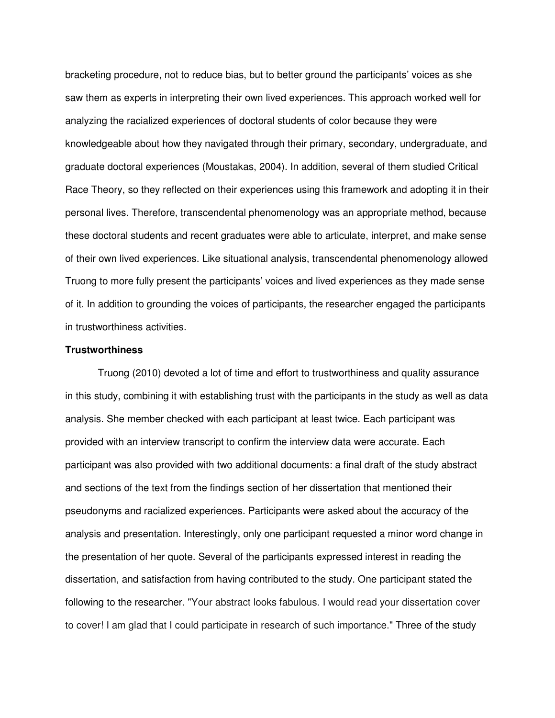bracketing procedure, not to reduce bias, but to better ground the participants' voices as she saw them as experts in interpreting their own lived experiences. This approach worked well for analyzing the racialized experiences of doctoral students of color because they were knowledgeable about how they navigated through their primary, secondary, undergraduate, and graduate doctoral experiences (Moustakas, 2004). In addition, several of them studied Critical Race Theory, so they reflected on their experiences using this framework and adopting it in their personal lives. Therefore, transcendental phenomenology was an appropriate method, because these doctoral students and recent graduates were able to articulate, interpret, and make sense of their own lived experiences. Like situational analysis, transcendental phenomenology allowed Truong to more fully present the participants' voices and lived experiences as they made sense of it. In addition to grounding the voices of participants, the researcher engaged the participants in trustworthiness activities.

# **Trustworthiness**

Truong (2010) devoted a lot of time and effort to trustworthiness and quality assurance in this study, combining it with establishing trust with the participants in the study as well as data analysis. She member checked with each participant at least twice. Each participant was provided with an interview transcript to confirm the interview data were accurate. Each participant was also provided with two additional documents: a final draft of the study abstract and sections of the text from the findings section of her dissertation that mentioned their pseudonyms and racialized experiences. Participants were asked about the accuracy of the analysis and presentation. Interestingly, only one participant requested a minor word change in the presentation of her quote. Several of the participants expressed interest in reading the dissertation, and satisfaction from having contributed to the study. One participant stated the following to the researcher. "Your abstract looks fabulous. I would read your dissertation cover to cover! I am glad that I could participate in research of such importance." Three of the study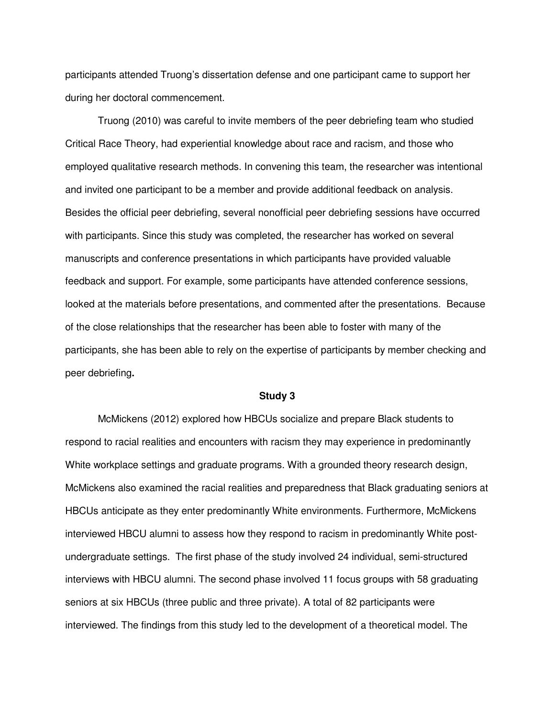participants attended Truong's dissertation defense and one participant came to support her during her doctoral commencement.

Truong (2010) was careful to invite members of the peer debriefing team who studied Critical Race Theory, had experiential knowledge about race and racism, and those who employed qualitative research methods. In convening this team, the researcher was intentional and invited one participant to be a member and provide additional feedback on analysis. Besides the official peer debriefing, several nonofficial peer debriefing sessions have occurred with participants. Since this study was completed, the researcher has worked on several manuscripts and conference presentations in which participants have provided valuable feedback and support. For example, some participants have attended conference sessions, looked at the materials before presentations, and commented after the presentations. Because of the close relationships that the researcher has been able to foster with many of the participants, she has been able to rely on the expertise of participants by member checking and peer debriefing**.** 

### **Study 3**

McMickens (2012) explored how HBCUs socialize and prepare Black students to respond to racial realities and encounters with racism they may experience in predominantly White workplace settings and graduate programs. With a grounded theory research design, McMickens also examined the racial realities and preparedness that Black graduating seniors at HBCUs anticipate as they enter predominantly White environments. Furthermore, McMickens interviewed HBCU alumni to assess how they respond to racism in predominantly White postundergraduate settings. The first phase of the study involved 24 individual, semi-structured interviews with HBCU alumni. The second phase involved 11 focus groups with 58 graduating seniors at six HBCUs (three public and three private). A total of 82 participants were interviewed. The findings from this study led to the development of a theoretical model. The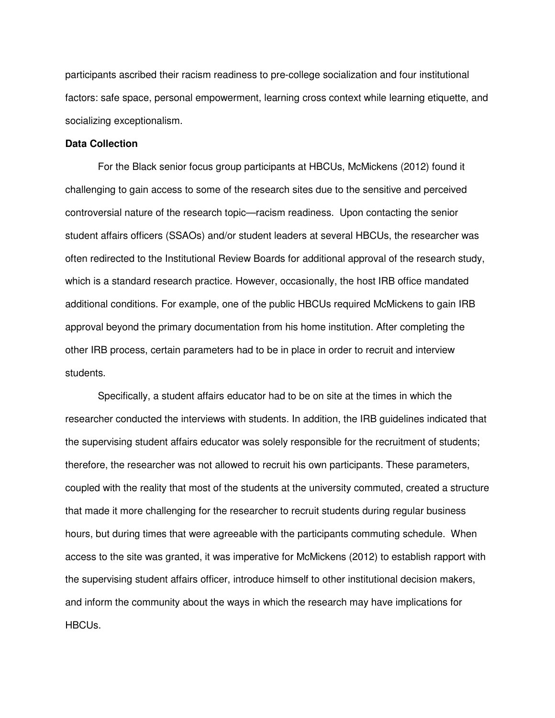participants ascribed their racism readiness to pre-college socialization and four institutional factors: safe space, personal empowerment, learning cross context while learning etiquette, and socializing exceptionalism.

#### **Data Collection**

For the Black senior focus group participants at HBCUs, McMickens (2012) found it challenging to gain access to some of the research sites due to the sensitive and perceived controversial nature of the research topic—racism readiness. Upon contacting the senior student affairs officers (SSAOs) and/or student leaders at several HBCUs, the researcher was often redirected to the Institutional Review Boards for additional approval of the research study, which is a standard research practice. However, occasionally, the host IRB office mandated additional conditions. For example, one of the public HBCUs required McMickens to gain IRB approval beyond the primary documentation from his home institution. After completing the other IRB process, certain parameters had to be in place in order to recruit and interview students.

Specifically, a student affairs educator had to be on site at the times in which the researcher conducted the interviews with students. In addition, the IRB guidelines indicated that the supervising student affairs educator was solely responsible for the recruitment of students; therefore, the researcher was not allowed to recruit his own participants. These parameters, coupled with the reality that most of the students at the university commuted, created a structure that made it more challenging for the researcher to recruit students during regular business hours, but during times that were agreeable with the participants commuting schedule. When access to the site was granted, it was imperative for McMickens (2012) to establish rapport with the supervising student affairs officer, introduce himself to other institutional decision makers, and inform the community about the ways in which the research may have implications for HBCUs.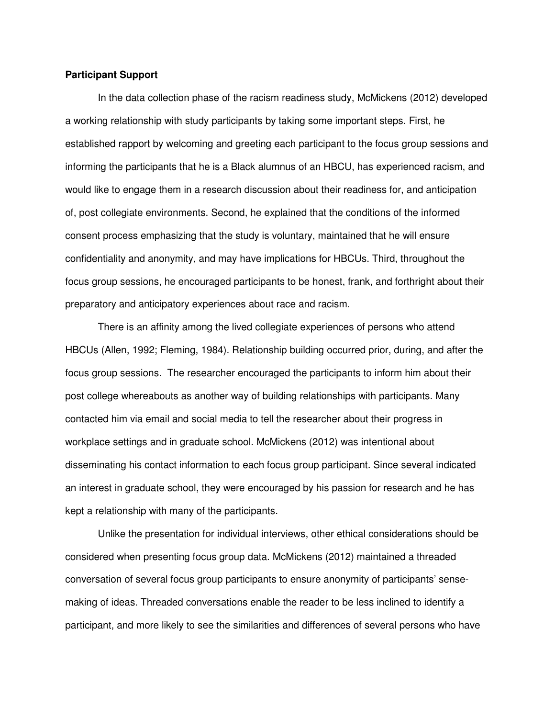# **Participant Support**

In the data collection phase of the racism readiness study, McMickens (2012) developed a working relationship with study participants by taking some important steps. First, he established rapport by welcoming and greeting each participant to the focus group sessions and informing the participants that he is a Black alumnus of an HBCU, has experienced racism, and would like to engage them in a research discussion about their readiness for, and anticipation of, post collegiate environments. Second, he explained that the conditions of the informed consent process emphasizing that the study is voluntary, maintained that he will ensure confidentiality and anonymity, and may have implications for HBCUs. Third, throughout the focus group sessions, he encouraged participants to be honest, frank, and forthright about their preparatory and anticipatory experiences about race and racism.

There is an affinity among the lived collegiate experiences of persons who attend HBCUs (Allen, 1992; Fleming, 1984). Relationship building occurred prior, during, and after the focus group sessions. The researcher encouraged the participants to inform him about their post college whereabouts as another way of building relationships with participants. Many contacted him via email and social media to tell the researcher about their progress in workplace settings and in graduate school. McMickens (2012) was intentional about disseminating his contact information to each focus group participant. Since several indicated an interest in graduate school, they were encouraged by his passion for research and he has kept a relationship with many of the participants.

Unlike the presentation for individual interviews, other ethical considerations should be considered when presenting focus group data. McMickens (2012) maintained a threaded conversation of several focus group participants to ensure anonymity of participants' sensemaking of ideas. Threaded conversations enable the reader to be less inclined to identify a participant, and more likely to see the similarities and differences of several persons who have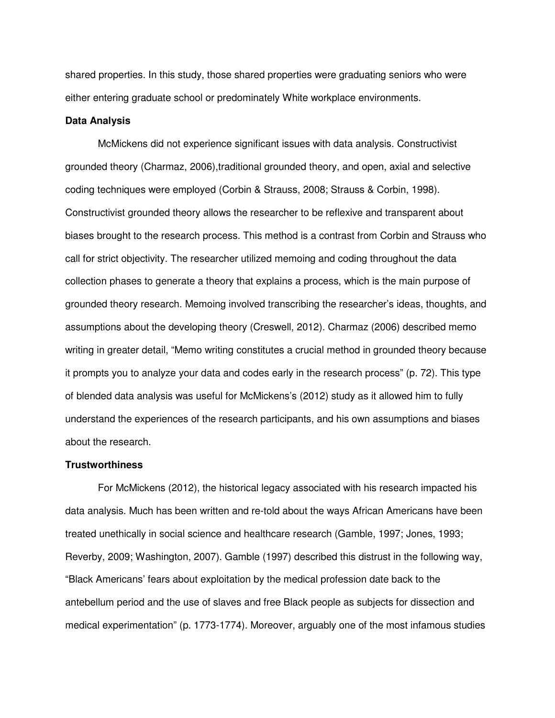shared properties. In this study, those shared properties were graduating seniors who were either entering graduate school or predominately White workplace environments.

# **Data Analysis**

McMickens did not experience significant issues with data analysis. Constructivist grounded theory (Charmaz, 2006),traditional grounded theory, and open, axial and selective coding techniques were employed (Corbin & Strauss, 2008; Strauss & Corbin, 1998). Constructivist grounded theory allows the researcher to be reflexive and transparent about biases brought to the research process. This method is a contrast from Corbin and Strauss who call for strict objectivity. The researcher utilized memoing and coding throughout the data collection phases to generate a theory that explains a process, which is the main purpose of grounded theory research. Memoing involved transcribing the researcher's ideas, thoughts, and assumptions about the developing theory (Creswell, 2012). Charmaz (2006) described memo writing in greater detail, "Memo writing constitutes a crucial method in grounded theory because it prompts you to analyze your data and codes early in the research process" (p. 72). This type of blended data analysis was useful for McMickens's (2012) study as it allowed him to fully understand the experiences of the research participants, and his own assumptions and biases about the research.

# **Trustworthiness**

For McMickens (2012), the historical legacy associated with his research impacted his data analysis. Much has been written and re-told about the ways African Americans have been treated unethically in social science and healthcare research (Gamble, 1997; Jones, 1993; Reverby, 2009; Washington, 2007). Gamble (1997) described this distrust in the following way, "Black Americans' fears about exploitation by the medical profession date back to the antebellum period and the use of slaves and free Black people as subjects for dissection and medical experimentation" (p. 1773-1774). Moreover, arguably one of the most infamous studies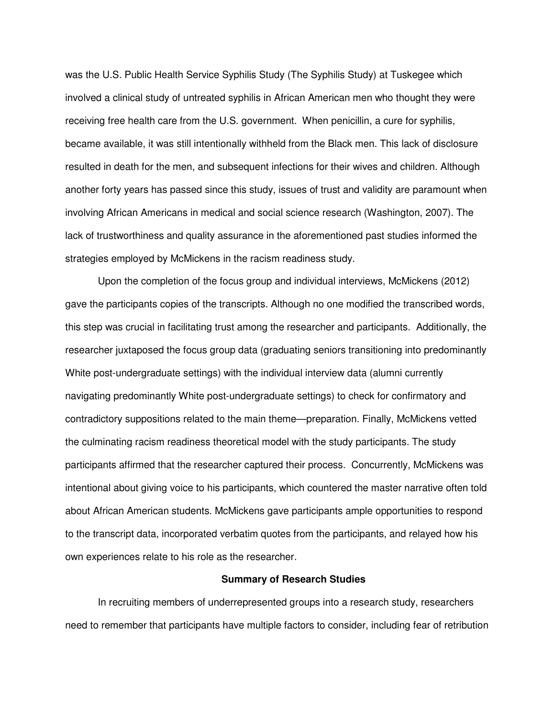was the U.S. Public Health Service Syphilis Study (The Syphilis Study) at Tuskegee which involved a clinical study of untreated syphilis in African American men who thought they were receiving free health care from the U.S. government. When penicillin, a cure for syphilis, became available, it was still intentionally withheld from the Black men. This lack of disclosure resulted in death for the men, and subsequent infections for their wives and children. Although another forty years has passed since this study, issues of trust and validity are paramount when involving African Americans in medical and social science research (Washington, 2007). The lack of trustworthiness and quality assurance in the aforementioned past studies informed the strategies employed by McMickens in the racism readiness study.

Upon the completion of the focus group and individual interviews, McMickens (2012) gave the participants copies of the transcripts. Although no one modified the transcribed words, this step was crucial in facilitating trust among the researcher and participants. Additionally, the researcher juxtaposed the focus group data (graduating seniors transitioning into predominantly White post-undergraduate settings) with the individual interview data (alumni currently navigating predominantly White post-undergraduate settings) to check for confirmatory and contradictory suppositions related to the main theme—preparation. Finally, McMickens vetted the culminating racism readiness theoretical model with the study participants. The study participants affirmed that the researcher captured their process. Concurrently, McMickens was intentional about giving voice to his participants, which countered the master narrative often told about African American students. McMickens gave participants ample opportunities to respond to the transcript data, incorporated verbatim quotes from the participants, and relayed how his own experiences relate to his role as the researcher.

#### **Summary of Research Studies**

In recruiting members of underrepresented groups into a research study, researchers need to remember that participants have multiple factors to consider, including fear of retribution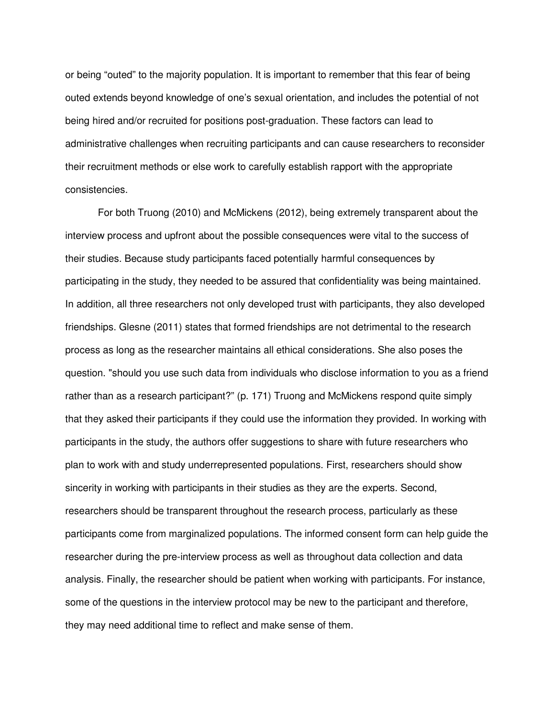or being "outed" to the majority population. It is important to remember that this fear of being outed extends beyond knowledge of one's sexual orientation, and includes the potential of not being hired and/or recruited for positions post-graduation. These factors can lead to administrative challenges when recruiting participants and can cause researchers to reconsider their recruitment methods or else work to carefully establish rapport with the appropriate consistencies.

For both Truong (2010) and McMickens (2012), being extremely transparent about the interview process and upfront about the possible consequences were vital to the success of their studies. Because study participants faced potentially harmful consequences by participating in the study, they needed to be assured that confidentiality was being maintained. In addition, all three researchers not only developed trust with participants, they also developed friendships. Glesne (2011) states that formed friendships are not detrimental to the research process as long as the researcher maintains all ethical considerations. She also poses the question. "should you use such data from individuals who disclose information to you as a friend rather than as a research participant?" (p. 171) Truong and McMickens respond quite simply that they asked their participants if they could use the information they provided. In working with participants in the study, the authors offer suggestions to share with future researchers who plan to work with and study underrepresented populations. First, researchers should show sincerity in working with participants in their studies as they are the experts. Second, researchers should be transparent throughout the research process, particularly as these participants come from marginalized populations. The informed consent form can help guide the researcher during the pre-interview process as well as throughout data collection and data analysis. Finally, the researcher should be patient when working with participants. For instance, some of the questions in the interview protocol may be new to the participant and therefore, they may need additional time to reflect and make sense of them.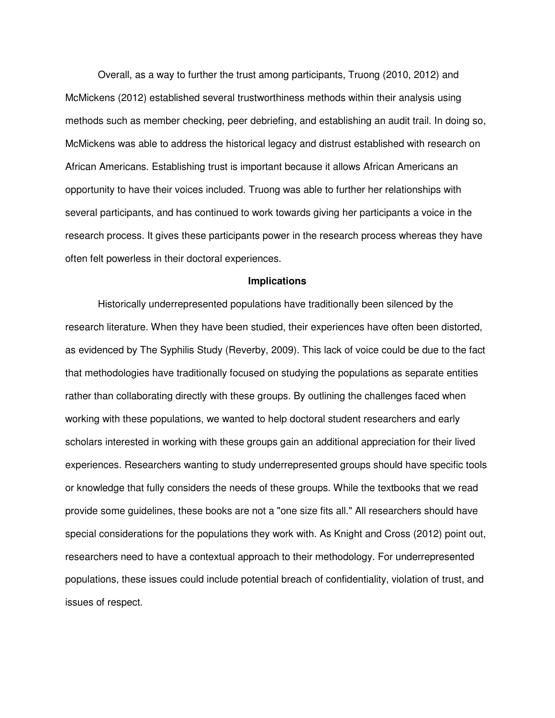Overall, as a way to further the trust among participants, Truong (2010, 2012) and McMickens (2012) established several trustworthiness methods within their analysis using methods such as member checking, peer debriefing, and establishing an audit trail. In doing so, McMickens was able to address the historical legacy and distrust established with research on African Americans. Establishing trust is important because it allows African Americans an opportunity to have their voices included. Truong was able to further her relationships with several participants, and has continued to work towards giving her participants a voice in the research process. It gives these participants power in the research process whereas they have often felt powerless in their doctoral experiences.

#### **Implications**

Historically underrepresented populations have traditionally been silenced by the research literature. When they have been studied, their experiences have often been distorted, as evidenced by The Syphilis Study (Reverby, 2009). This lack of voice could be due to the fact that methodologies have traditionally focused on studying the populations as separate entities rather than collaborating directly with these groups. By outlining the challenges faced when working with these populations, we wanted to help doctoral student researchers and early scholars interested in working with these groups gain an additional appreciation for their lived experiences. Researchers wanting to study underrepresented groups should have specific tools or knowledge that fully considers the needs of these groups. While the textbooks that we read provide some guidelines, these books are not a "one size fits all." All researchers should have special considerations for the populations they work with. As Knight and Cross (2012) point out, researchers need to have a contextual approach to their methodology. For underrepresented populations, these issues could include potential breach of confidentiality, violation of trust, and issues of respect.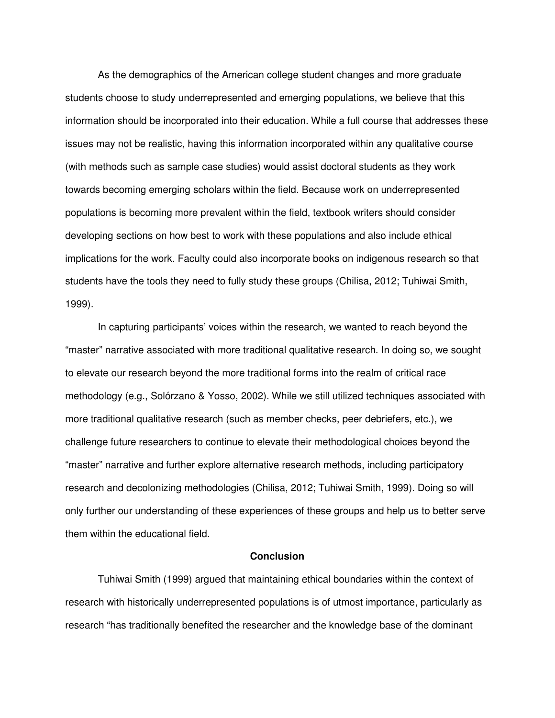As the demographics of the American college student changes and more graduate students choose to study underrepresented and emerging populations, we believe that this information should be incorporated into their education. While a full course that addresses these issues may not be realistic, having this information incorporated within any qualitative course (with methods such as sample case studies) would assist doctoral students as they work towards becoming emerging scholars within the field. Because work on underrepresented populations is becoming more prevalent within the field, textbook writers should consider developing sections on how best to work with these populations and also include ethical implications for the work. Faculty could also incorporate books on indigenous research so that students have the tools they need to fully study these groups (Chilisa, 2012; Tuhiwai Smith, 1999).

In capturing participants' voices within the research, we wanted to reach beyond the "master" narrative associated with more traditional qualitative research. In doing so, we sought to elevate our research beyond the more traditional forms into the realm of critical race methodology (e.g., Solórzano & Yosso, 2002). While we still utilized techniques associated with more traditional qualitative research (such as member checks, peer debriefers, etc.), we challenge future researchers to continue to elevate their methodological choices beyond the "master" narrative and further explore alternative research methods, including participatory research and decolonizing methodologies (Chilisa, 2012; Tuhiwai Smith, 1999). Doing so will only further our understanding of these experiences of these groups and help us to better serve them within the educational field.

# **Conclusion**

Tuhiwai Smith (1999) argued that maintaining ethical boundaries within the context of research with historically underrepresented populations is of utmost importance, particularly as research "has traditionally benefited the researcher and the knowledge base of the dominant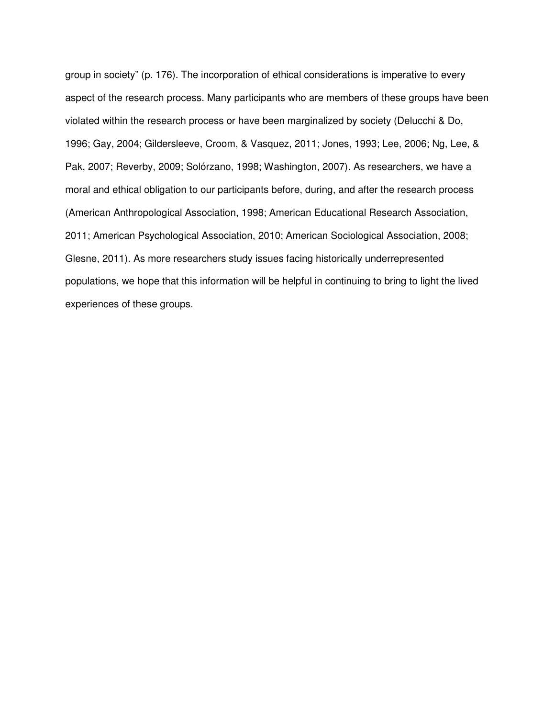group in society" (p. 176). The incorporation of ethical considerations is imperative to every aspect of the research process. Many participants who are members of these groups have been violated within the research process or have been marginalized by society (Delucchi & Do, 1996; Gay, 2004; Gildersleeve, Croom, & Vasquez, 2011; Jones, 1993; Lee, 2006; Ng, Lee, & Pak, 2007; Reverby, 2009; Solórzano, 1998; Washington, 2007). As researchers, we have a moral and ethical obligation to our participants before, during, and after the research process (American Anthropological Association, 1998; American Educational Research Association, 2011; American Psychological Association, 2010; American Sociological Association, 2008; Glesne, 2011). As more researchers study issues facing historically underrepresented populations, we hope that this information will be helpful in continuing to bring to light the lived experiences of these groups.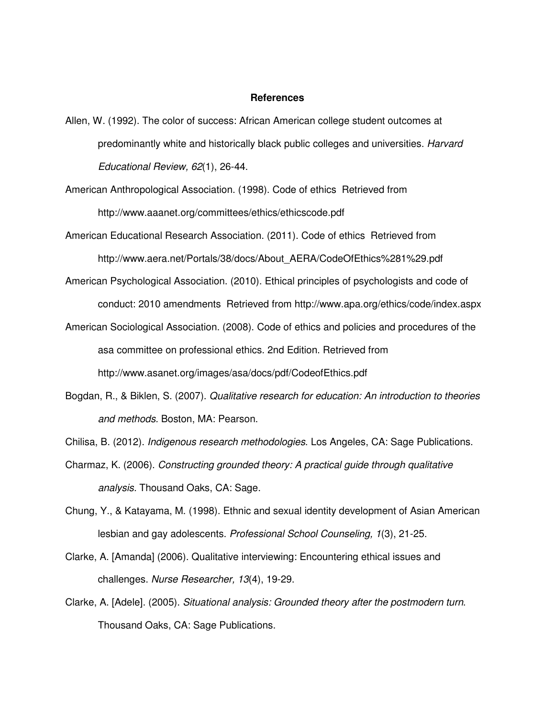#### **References**

- Allen, W. (1992). The color of success: African American college student outcomes at predominantly white and historically black public colleges and universities. Harvard Educational Review, 62(1), 26-44.
- American Anthropological Association. (1998). Code of ethics Retrieved from http://www.aaanet.org/committees/ethics/ethicscode.pdf
- American Educational Research Association. (2011). Code of ethics Retrieved from http://www.aera.net/Portals/38/docs/About\_AERA/CodeOfEthics%281%29.pdf
- American Psychological Association. (2010). Ethical principles of psychologists and code of conduct: 2010 amendments Retrieved from http://www.apa.org/ethics/code/index.aspx
- American Sociological Association. (2008). Code of ethics and policies and procedures of the asa committee on professional ethics. 2nd Edition. Retrieved from http://www.asanet.org/images/asa/docs/pdf/CodeofEthics.pdf
- Bogdan, R., & Biklen, S. (2007). Qualitative research for education: An introduction to theories and methods. Boston, MA: Pearson.
- Chilisa, B. (2012). Indigenous research methodologies. Los Angeles, CA: Sage Publications.
- Charmaz, K. (2006). Constructing grounded theory: A practical guide through qualitative analysis. Thousand Oaks, CA: Sage.
- Chung, Y., & Katayama, M. (1998). Ethnic and sexual identity development of Asian American lesbian and gay adolescents. Professional School Counseling, 1(3), 21-25.
- Clarke, A. [Amanda] (2006). Qualitative interviewing: Encountering ethical issues and challenges. Nurse Researcher, 13(4), 19-29.
- Clarke, A. [Adele]. (2005). Situational analysis: Grounded theory after the postmodern turn. Thousand Oaks, CA: Sage Publications.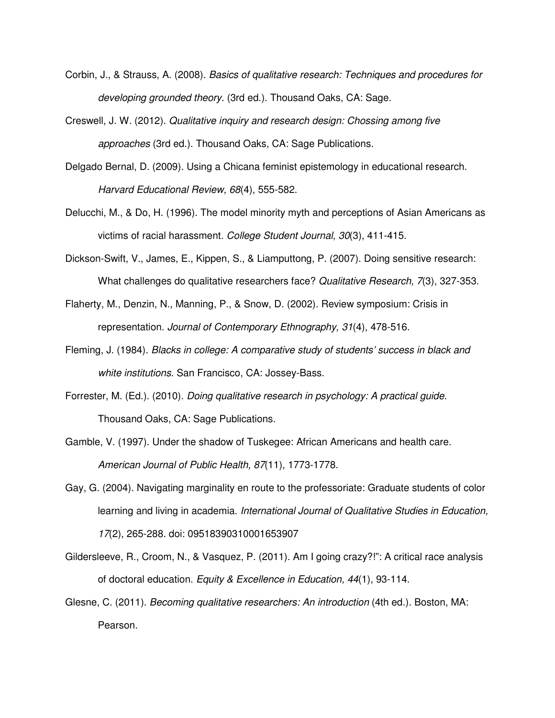- Corbin, J., & Strauss, A. (2008). Basics of qualitative research: Techniques and procedures for developing grounded theory. (3rd ed.). Thousand Oaks, CA: Sage.
- Creswell, J. W. (2012). Qualitative inquiry and research design: Chossing among five approaches (3rd ed.). Thousand Oaks, CA: Sage Publications.
- Delgado Bernal, D. (2009). Using a Chicana feminist epistemology in educational research. Harvard Educational Review, 68(4), 555-582.
- Delucchi, M., & Do, H. (1996). The model minority myth and perceptions of Asian Americans as victims of racial harassment. College Student Journal, 30(3), 411-415.
- Dickson-Swift, V., James, E., Kippen, S., & Liamputtong, P. (2007). Doing sensitive research: What challenges do qualitative researchers face? Qualitative Research, 7(3), 327-353.
- Flaherty, M., Denzin, N., Manning, P., & Snow, D. (2002). Review symposium: Crisis in representation. Journal of Contemporary Ethnography, 31(4), 478-516.
- Fleming, J. (1984). Blacks in college: A comparative study of students' success in black and white institutions. San Francisco, CA: Jossey-Bass.
- Forrester, M. (Ed.). (2010). Doing qualitative research in psychology: A practical guide. Thousand Oaks, CA: Sage Publications.
- Gamble, V. (1997). Under the shadow of Tuskegee: African Americans and health care. American Journal of Public Health, 87(11), 1773-1778.
- Gay, G. (2004). Navigating marginality en route to the professoriate: Graduate students of color learning and living in academia. International Journal of Qualitative Studies in Education, 17(2), 265-288. doi: 09518390310001653907
- Gildersleeve, R., Croom, N., & Vasquez, P. (2011). Am I going crazy?!": A critical race analysis of doctoral education. Equity & Excellence in Education, 44(1), 93-114.
- Glesne, C. (2011). Becoming qualitative researchers: An introduction (4th ed.). Boston, MA: Pearson.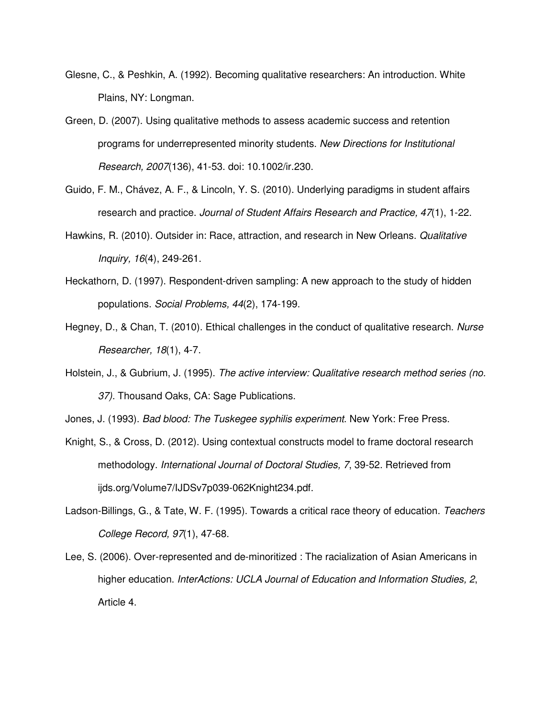- Glesne, C., & Peshkin, A. (1992). Becoming qualitative researchers: An introduction. White Plains, NY: Longman.
- Green, D. (2007). Using qualitative methods to assess academic success and retention programs for underrepresented minority students. New Directions for Institutional Research, 2007(136), 41-53. doi: 10.1002/ir.230.
- Guido, F. M., Chávez, A. F., & Lincoln, Y. S. (2010). Underlying paradigms in student affairs research and practice. Journal of Student Affairs Research and Practice, 47(1), 1-22.
- Hawkins, R. (2010). Outsider in: Race, attraction, and research in New Orleans. Qualitative Inquiry, 16(4), 249-261.
- Heckathorn, D. (1997). Respondent-driven sampling: A new approach to the study of hidden populations. Social Problems, 44(2), 174-199.
- Hegney, D., & Chan, T. (2010). Ethical challenges in the conduct of qualitative research. Nurse Researcher, 18(1), 4-7.
- Holstein, J., & Gubrium, J. (1995). The active interview: Qualitative research method series (no. 37). Thousand Oaks, CA: Sage Publications.
- Jones, J. (1993). Bad blood: The Tuskegee syphilis experiment. New York: Free Press.
- Knight, S., & Cross, D. (2012). Using contextual constructs model to frame doctoral research methodology. International Journal of Doctoral Studies, 7, 39-52. Retrieved from ijds.org/Volume7/IJDSv7p039-062Knight234.pdf.
- Ladson-Billings, G., & Tate, W. F. (1995). Towards a critical race theory of education. Teachers College Record, 97(1), 47-68.
- Lee, S. (2006). Over-represented and de-minoritized : The racialization of Asian Americans in higher education. InterActions: UCLA Journal of Education and Information Studies, 2, Article 4.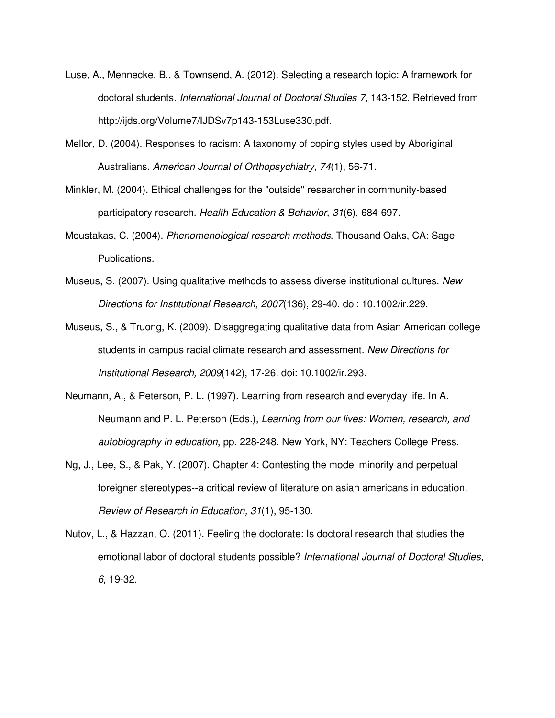- Luse, A., Mennecke, B., & Townsend, A. (2012). Selecting a research topic: A framework for doctoral students. International Journal of Doctoral Studies 7, 143-152. Retrieved from http://ijds.org/Volume7/IJDSv7p143-153Luse330.pdf.
- Mellor, D. (2004). Responses to racism: A taxonomy of coping styles used by Aboriginal Australians. American Journal of Orthopsychiatry, 74(1), 56-71.
- Minkler, M. (2004). Ethical challenges for the "outside" researcher in community-based participatory research. Health Education & Behavior, 31(6), 684-697.
- Moustakas, C. (2004). Phenomenological research methods. Thousand Oaks, CA: Sage Publications.
- Museus, S. (2007). Using qualitative methods to assess diverse institutional cultures. New Directions for Institutional Research, 2007(136), 29-40. doi: 10.1002/ir.229.
- Museus, S., & Truong, K. (2009). Disaggregating qualitative data from Asian American college students in campus racial climate research and assessment. New Directions for Institutional Research, 2009(142), 17-26. doi: 10.1002/ir.293.
- Neumann, A., & Peterson, P. L. (1997). Learning from research and everyday life. In A. Neumann and P. L. Peterson (Eds.), Learning from our lives: Women, research, and autobiography in education, pp. 228-248. New York, NY: Teachers College Press.
- Ng, J., Lee, S., & Pak, Y. (2007). Chapter 4: Contesting the model minority and perpetual foreigner stereotypes--a critical review of literature on asian americans in education. Review of Research in Education, 31(1), 95-130.
- Nutov, L., & Hazzan, O. (2011). Feeling the doctorate: Is doctoral research that studies the emotional labor of doctoral students possible? International Journal of Doctoral Studies, 6, 19-32.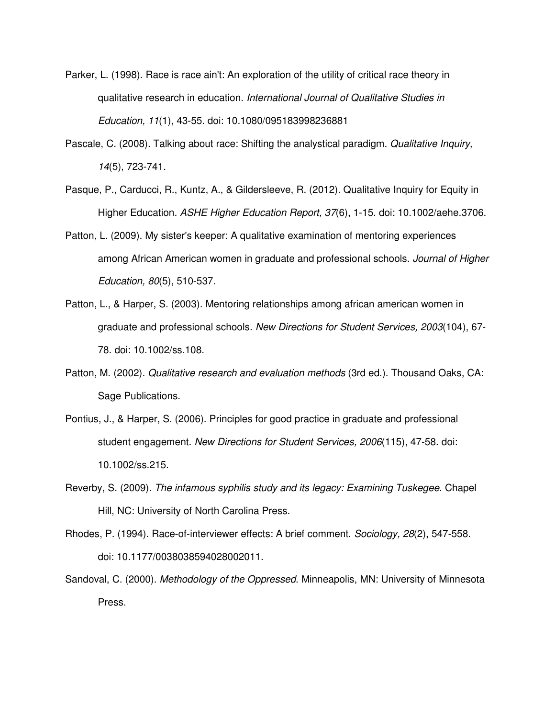- Parker, L. (1998). Race is race ain't: An exploration of the utility of critical race theory in qualitative research in education. International Journal of Qualitative Studies in Education, 11(1), 43-55. doi: 10.1080/095183998236881
- Pascale, C. (2008). Talking about race: Shifting the analystical paradigm. Qualitative Inquiry, 14(5), 723-741.
- Pasque, P., Carducci, R., Kuntz, A., & Gildersleeve, R. (2012). Qualitative Inquiry for Equity in Higher Education. ASHE Higher Education Report, 37(6), 1-15. doi: 10.1002/aehe.3706.
- Patton, L. (2009). My sister's keeper: A qualitative examination of mentoring experiences among African American women in graduate and professional schools. Journal of Higher Education, 80(5), 510-537.
- Patton, L., & Harper, S. (2003). Mentoring relationships among african american women in graduate and professional schools. New Directions for Student Services, 2003(104), 67- 78. doi: 10.1002/ss.108.
- Patton, M. (2002). Qualitative research and evaluation methods (3rd ed.). Thousand Oaks, CA: Sage Publications.
- Pontius, J., & Harper, S. (2006). Principles for good practice in graduate and professional student engagement. New Directions for Student Services, 2006(115), 47-58. doi: 10.1002/ss.215.
- Reverby, S. (2009). The infamous syphilis study and its legacy: Examining Tuskegee. Chapel Hill, NC: University of North Carolina Press.
- Rhodes, P. (1994). Race-of-interviewer effects: A brief comment. Sociology, 28(2), 547-558. doi: 10.1177/0038038594028002011.
- Sandoval, C. (2000). Methodology of the Oppressed. Minneapolis, MN: University of Minnesota Press.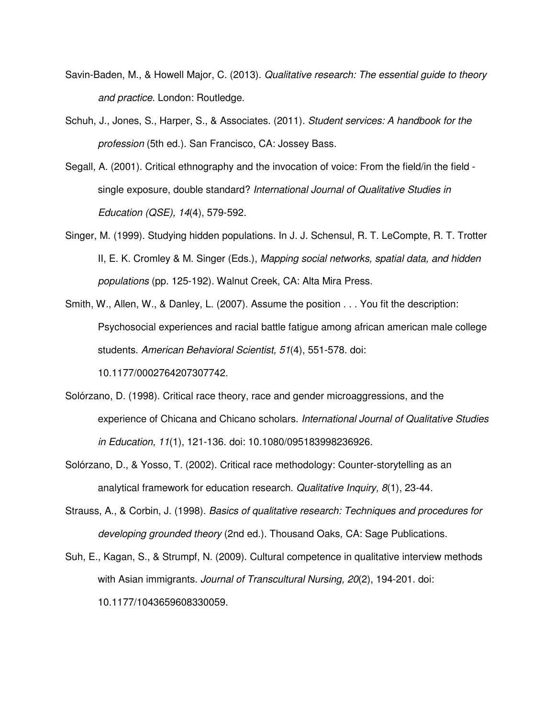- Savin-Baden, M., & Howell Major, C. (2013). Qualitative research: The essential guide to theory and practice. London: Routledge.
- Schuh, J., Jones, S., Harper, S., & Associates. (2011). Student services: A handbook for the profession (5th ed.). San Francisco, CA: Jossey Bass.
- Segall, A. (2001). Critical ethnography and the invocation of voice: From the field/in the field single exposure, double standard? International Journal of Qualitative Studies in Education (QSE), 14(4), 579-592.
- Singer, M. (1999). Studying hidden populations. In J. J. Schensul, R. T. LeCompte, R. T. Trotter II, E. K. Cromley & M. Singer (Eds.), Mapping social networks, spatial data, and hidden populations (pp. 125-192). Walnut Creek, CA: Alta Mira Press.
- Smith, W., Allen, W., & Danley, L. (2007). Assume the position . . . You fit the description: Psychosocial experiences and racial battle fatigue among african american male college students. American Behavioral Scientist, 51(4), 551-578. doi:

10.1177/0002764207307742.

- Solórzano, D. (1998). Critical race theory, race and gender microaggressions, and the experience of Chicana and Chicano scholars. International Journal of Qualitative Studies in Education, 11(1), 121-136. doi: 10.1080/095183998236926.
- Solórzano, D., & Yosso, T. (2002). Critical race methodology: Counter-storytelling as an analytical framework for education research. Qualitative Inquiry, 8(1), 23-44.
- Strauss, A., & Corbin, J. (1998). Basics of qualitative research: Techniques and procedures for developing grounded theory (2nd ed.). Thousand Oaks, CA: Sage Publications.
- Suh, E., Kagan, S., & Strumpf, N. (2009). Cultural competence in qualitative interview methods with Asian immigrants. Journal of Transcultural Nursing, 20(2), 194-201. doi: 10.1177/1043659608330059.